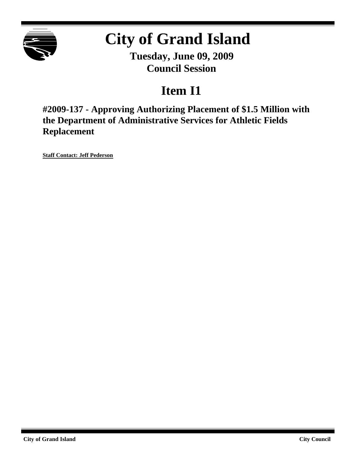

# **City of Grand Island**

**Tuesday, June 09, 2009 Council Session**

## **Item I1**

**#2009-137 - Approving Authorizing Placement of \$1.5 Million with the Department of Administrative Services for Athletic Fields Replacement**

**Staff Contact: Jeff Pederson**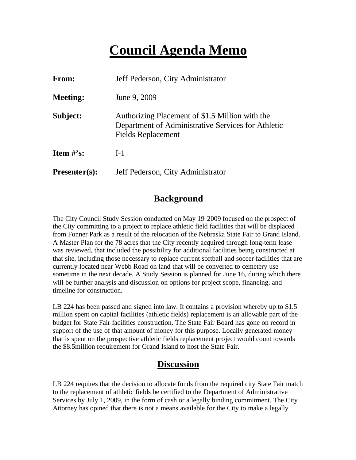### **Council Agenda Memo**

| From:           | Jeff Pederson, City Administrator                                                                                           |  |
|-----------------|-----------------------------------------------------------------------------------------------------------------------------|--|
| <b>Meeting:</b> | June 9, 2009                                                                                                                |  |
| Subject:        | Authorizing Placement of \$1.5 Million with the<br>Department of Administrative Services for Athletic<br>Fields Replacement |  |
| Item $#$ 's:    | $I-1$                                                                                                                       |  |
| $Presenter(s):$ | Jeff Pederson, City Administrator                                                                                           |  |

#### **Background**

The City Council Study Session conducted on May 19, 2009 focused on the prospect of the City committing to a project to replace athletic field facilities that will be displaced from Fonner Park as a result of the relocation of the Nebraska State Fair to Grand Island. A Master Plan for the 78 acres that the City recently acquired through long-term lease was reviewed, that included the possibility for additional facilities being constructed at that site, including those necessary to replace current softball and soccer facilities that are currently located near Webb Road on land that will be converted to cemetery use sometime in the next decade. A Study Session is planned for June 16, during which there will be further analysis and discussion on options for project scope, financing, and timeline for construction.

LB 224 has been passed and signed into law. It contains a provision whereby up to \$1.5 million spent on capital facilities (athletic fields) replacement is an allowable part of the budget for State Fair facilities construction. The State Fair Board has gone on record in support of the use of that amount of money for this purpose. Locally generated money that is spent on the prospective athletic fields replacement project would count towards the \$8.5million requirement for Grand Island to host the State Fair.

### **Discussion**

LB 224 requires that the decision to allocate funds from the required city State Fair match to the replacement of athletic fields be certified to the Department of Administrative Services by July 1, 2009, in the form of cash or a legally binding commitment. The City Attorney has opined that there is not a means available for the City to make a legally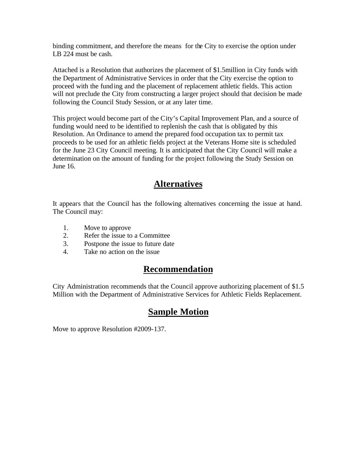binding commitment, and therefore the means for the City to exercise the option under LB 224 must be cash.

Attached is a Resolution that authorizes the placement of \$1.5million in City funds with the Department of Administrative Services in order that the City exercise the option to proceed with the funding and the placement of replacement athletic fields. This action will not preclude the City from constructing a larger project should that decision be made following the Council Study Session, or at any later time.

This project would become part of the City's Capital Improvement Plan, and a source of funding would need to be identified to replenish the cash that is obligated by this Resolution. An Ordinance to amend the prepared food occupation tax to permit tax proceeds to be used for an athletic fields project at the Veterans Home site is scheduled for the June 23 City Council meeting. It is anticipated that the City Council will make a determination on the amount of funding for the project following the Study Session on June 16.

### **Alternatives**

It appears that the Council has the following alternatives concerning the issue at hand. The Council may:

- 1. Move to approve
- 2. Refer the issue to a Committee
- 3. Postpone the issue to future date
- 4. Take no action on the issue

#### **Recommendation**

City Administration recommends that the Council approve authorizing placement of \$1.5 Million with the Department of Administrative Services for Athletic Fields Replacement.

### **Sample Motion**

Move to approve Resolution #2009-137.